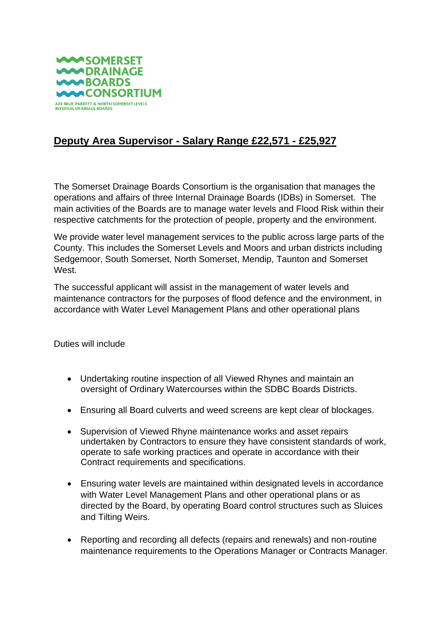

## **Deputy Area Supervisor - Salary Range £22,571 - £25,927**

The Somerset Drainage Boards Consortium is the organisation that manages the operations and affairs of three Internal Drainage Boards (IDBs) in Somerset. The main activities of the Boards are to manage water levels and Flood Risk within their respective catchments for the protection of people, property and the environment.

We provide water level management services to the public across large parts of the County. This includes the Somerset Levels and Moors and urban districts including Sedgemoor, South Somerset, North Somerset, Mendip, Taunton and Somerset West.

The successful applicant will assist in the management of water levels and maintenance contractors for the purposes of flood defence and the environment, in accordance with Water Level Management Plans and other operational plans

Duties will include

- Undertaking routine inspection of all Viewed Rhynes and maintain an oversight of Ordinary Watercourses within the SDBC Boards Districts.
- Ensuring all Board culverts and weed screens are kept clear of blockages.
- Supervision of Viewed Rhyne maintenance works and asset repairs undertaken by Contractors to ensure they have consistent standards of work, operate to safe working practices and operate in accordance with their Contract requirements and specifications.
- Ensuring water levels are maintained within designated levels in accordance with Water Level Management Plans and other operational plans or as directed by the Board, by operating Board control structures such as Sluices and Tilting Weirs.
- Reporting and recording all defects (repairs and renewals) and non-routine maintenance requirements to the Operations Manager or Contracts Manager.